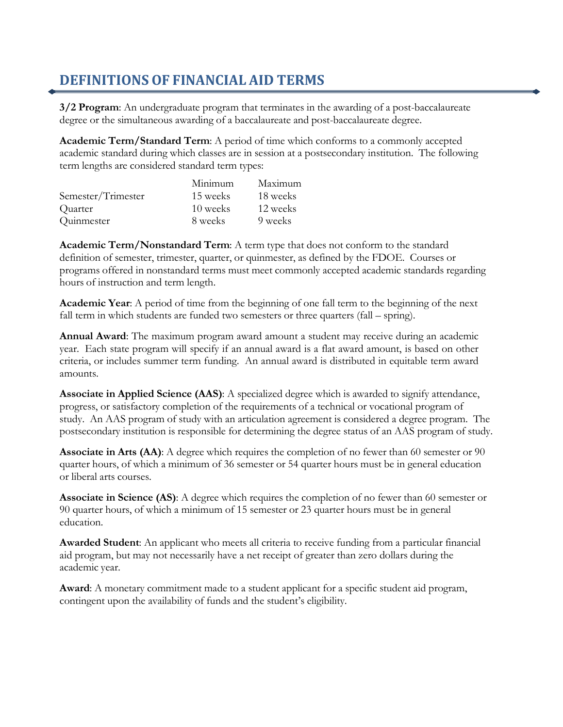## **DEFINITIONS OF FINANCIAL AID TERMS**

**3/2 Program**: An undergraduate program that terminates in the awarding of a post-baccalaureate degree or the simultaneous awarding of a baccalaureate and post-baccalaureate degree.

**Academic Term/Standard Term**: A period of time which conforms to a commonly accepted academic standard during which classes are in session at a postsecondary institution. The following term lengths are considered standard term types:

|                    | Minimum  | Maximum  |
|--------------------|----------|----------|
| Semester/Trimester | 15 weeks | 18 weeks |
| Quarter            | 10 weeks | 12 weeks |
| Quinmester         | 8 weeks  | 9 weeks  |

**Academic Term/Nonstandard Term**: A term type that does not conform to the standard definition of semester, trimester, quarter, or quinmester, as defined by the FDOE. Courses or programs offered in nonstandard terms must meet commonly accepted academic standards regarding hours of instruction and term length.

**Academic Year**: A period of time from the beginning of one fall term to the beginning of the next fall term in which students are funded two semesters or three quarters (fall – spring).

**Annual Award**: The maximum program award amount a student may receive during an academic year. Each state program will specify if an annual award is a flat award amount, is based on other criteria, or includes summer term funding. An annual award is distributed in equitable term award amounts.

**Associate in Applied Science (AAS)**: A specialized degree which is awarded to signify attendance, progress, or satisfactory completion of the requirements of a technical or vocational program of study. An AAS program of study with an articulation agreement is considered a degree program. The postsecondary institution is responsible for determining the degree status of an AAS program of study.

**Associate in Arts (AA)**: A degree which requires the completion of no fewer than 60 semester or 90 quarter hours, of which a minimum of 36 semester or 54 quarter hours must be in general education or liberal arts courses.

**Associate in Science (AS)**: A degree which requires the completion of no fewer than 60 semester or 90 quarter hours, of which a minimum of 15 semester or 23 quarter hours must be in general education.

**Awarded Student**: An applicant who meets all criteria to receive funding from a particular financial aid program, but may not necessarily have a net receipt of greater than zero dollars during the academic year.

**Award**: A monetary commitment made to a student applicant for a specific student aid program, contingent upon the availability of funds and the student's eligibility.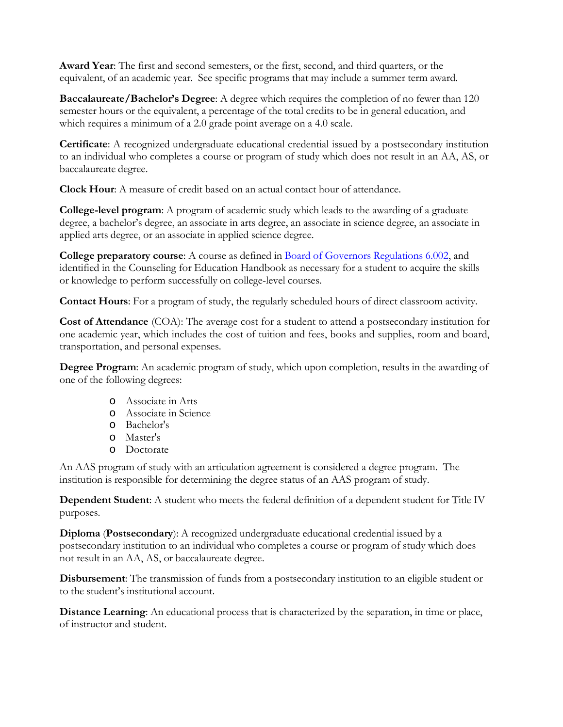**Award Year**: The first and second semesters, or the first, second, and third quarters, or the equivalent, of an academic year. See specific programs that may include a summer term award.

**Baccalaureate/Bachelor's Degree**: A degree which requires the completion of no fewer than 120 semester hours or the equivalent, a percentage of the total credits to be in general education, and which requires a minimum of a 2.0 grade point average on a 4.0 scale.

**Certificate**: A recognized undergraduate educational credential issued by a postsecondary institution to an individual who completes a course or program of study which does not result in an AA, AS, or baccalaureate degree.

**Clock Hour**: A measure of credit based on an actual contact hour of attendance.

**College-level program**: A program of academic study which leads to the awarding of a graduate degree, a bachelor's degree, an associate in arts degree, an associate in science degree, an associate in applied arts degree, or an associate in applied science degree.

**College preparatory course**: A course as defined in Board of Governors [Regulations](https://www.flbog.edu/regulations/active-regulations/) 6.002, and identified in the Counseling for Education Handbook as necessary for a student to acquire the skills or knowledge to perform successfully on college-level courses.

**Contact Hours**: For a program of study, the regularly scheduled hours of direct classroom activity.

**Cost of Attendance** (COA): The average cost for a student to attend a postsecondary institution for one academic year, which includes the cost of tuition and fees, books and supplies, room and board, transportation, and personal expenses.

**Degree Program**: An academic program of study, which upon completion, results in the awarding of one of the following degrees:

- o Associate in Arts
- o Associate in Science
- o Bachelor's
- o Master's
- o Doctorate

An AAS program of study with an articulation agreement is considered a degree program. The institution is responsible for determining the degree status of an AAS program of study.

**Dependent Student**: A student who meets the federal definition of a dependent student for Title IV purposes.

**Diploma** (**Postsecondary**): A recognized undergraduate educational credential issued by a postsecondary institution to an individual who completes a course or program of study which does not result in an AA, AS, or baccalaureate degree.

**Disbursement**: The transmission of funds from a postsecondary institution to an eligible student or to the student's institutional account.

**Distance Learning**: An educational process that is characterized by the separation, in time or place, of instructor and student.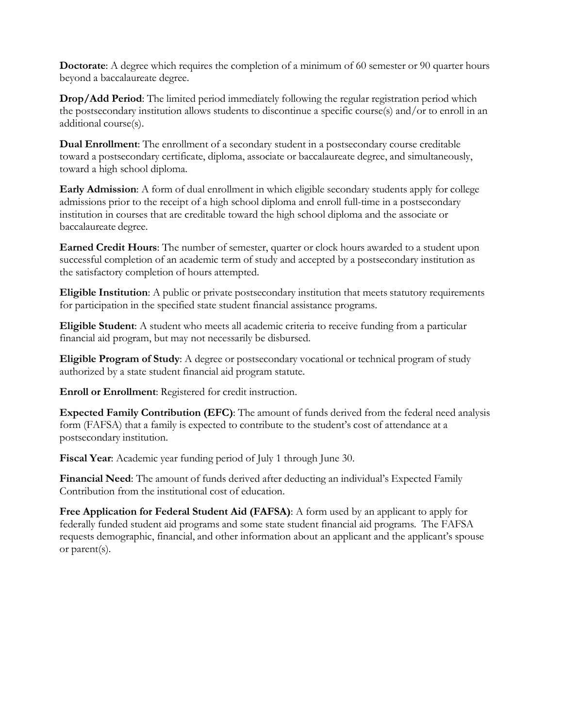**Doctorate**: A degree which requires the completion of a minimum of 60 semester or 90 quarter hours beyond a baccalaureate degree.

**Drop/Add Period**: The limited period immediately following the regular registration period which the postsecondary institution allows students to discontinue a specific course(s) and/or to enroll in an additional course(s).

**Dual Enrollment**: The enrollment of a secondary student in a postsecondary course creditable toward a postsecondary certificate, diploma, associate or baccalaureate degree, and simultaneously, toward a high school diploma.

**Early Admission**: A form of dual enrollment in which eligible secondary students apply for college admissions prior to the receipt of a high school diploma and enroll full-time in a postsecondary institution in courses that are creditable toward the high school diploma and the associate or baccalaureate degree.

**Earned Credit Hours**: The number of semester, quarter or clock hours awarded to a student upon successful completion of an academic term of study and accepted by a postsecondary institution as the satisfactory completion of hours attempted.

**Eligible Institution**: A public or private postsecondary institution that meets statutory requirements for participation in the specified state student financial assistance programs.

**Eligible Student**: A student who meets all academic criteria to receive funding from a particular financial aid program, but may not necessarily be disbursed.

**Eligible Program of Study**: A degree or postsecondary vocational or technical program of study authorized by a state student financial aid program statute.

**Enroll or Enrollment**: Registered for credit instruction.

**Expected Family Contribution (EFC)**: The amount of funds derived from the federal need analysis form (FAFSA) that a family is expected to contribute to the student's cost of attendance at a postsecondary institution.

**Fiscal Year**: Academic year funding period of July 1 through June 30.

**Financial Need**: The amount of funds derived after deducting an individual's Expected Family Contribution from the institutional cost of education.

**Free Application for Federal Student Aid (FAFSA)**: A form used by an applicant to apply for federally funded student aid programs and some state student financial aid programs. The FAFSA requests demographic, financial, and other information about an applicant and the applicant's spouse or parent(s).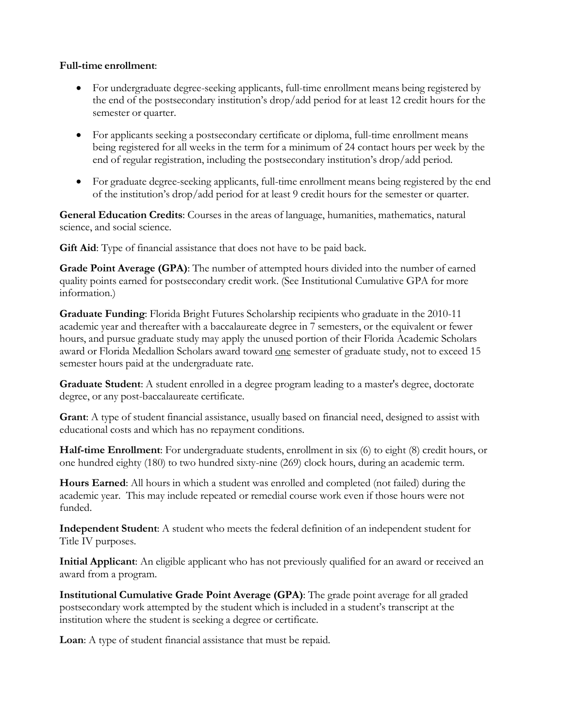## **Full-time enrollment**:

- For undergraduate degree-seeking applicants, full-time enrollment means being registered by the end of the postsecondary institution's drop/add period for at least 12 credit hours for the semester or quarter.
- For applicants seeking a postsecondary certificate or diploma, full-time enrollment means being registered for all weeks in the term for a minimum of 24 contact hours per week by the end of regular registration, including the postsecondary institution's drop/add period.
- For graduate degree-seeking applicants, full-time enrollment means being registered by the end of the institution's drop/add period for at least 9 credit hours for the semester or quarter.

**General Education Credits**: Courses in the areas of language, humanities, mathematics, natural science, and social science.

**Gift Aid**: Type of financial assistance that does not have to be paid back.

**Grade Point Average (GPA)**: The number of attempted hours divided into the number of earned quality points earned for postsecondary credit work. (See Institutional Cumulative GPA for more information.)

**Graduate Funding**: Florida Bright Futures Scholarship recipients who graduate in the 2010-11 academic year and thereafter with a baccalaureate degree in 7 semesters, or the equivalent or fewer hours, and pursue graduate study may apply the unused portion of their Florida Academic Scholars award or Florida Medallion Scholars award toward one semester of graduate study, not to exceed 15 semester hours paid at the undergraduate rate.

**Graduate Student**: A student enrolled in a degree program leading to a master's degree, doctorate degree, or any post-baccalaureate certificate.

**Grant**: A type of student financial assistance, usually based on financial need, designed to assist with educational costs and which has no repayment conditions.

**Half-time Enrollment**: For undergraduate students, enrollment in six (6) to eight (8) credit hours, or one hundred eighty (180) to two hundred sixty-nine (269) clock hours, during an academic term.

**Hours Earned**: All hours in which a student was enrolled and completed (not failed) during the academic year. This may include repeated or remedial course work even if those hours were not funded.

**Independent Student**: A student who meets the federal definition of an independent student for Title IV purposes.

**Initial Applicant**: An eligible applicant who has not previously qualified for an award or received an award from a program.

**Institutional Cumulative Grade Point Average (GPA)**: The grade point average for all graded postsecondary work attempted by the student which is included in a student's transcript at the institution where the student is seeking a degree or certificate.

**Loan**: A type of student financial assistance that must be repaid.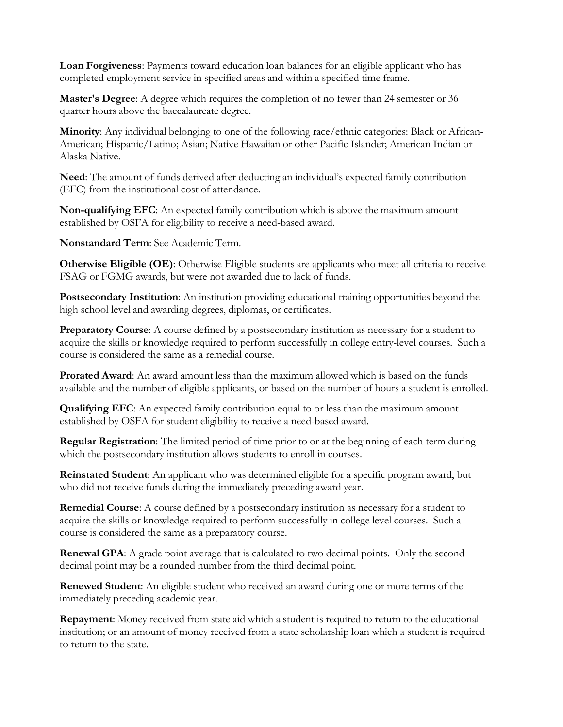**Loan Forgiveness**: Payments toward education loan balances for an eligible applicant who has completed employment service in specified areas and within a specified time frame.

**Master's Degree**: A degree which requires the completion of no fewer than 24 semester or 36 quarter hours above the baccalaureate degree.

**Minority**: Any individual belonging to one of the following race/ethnic categories: Black or African-American; Hispanic/Latino; Asian; Native Hawaiian or other Pacific Islander; American Indian or Alaska Native.

**Need**: The amount of funds derived after deducting an individual's expected family contribution (EFC) from the institutional cost of attendance.

**Non-qualifying EFC**: An expected family contribution which is above the maximum amount established by OSFA for eligibility to receive a need-based award.

**Nonstandard Term**: See Academic Term.

**Otherwise Eligible (OE)**: Otherwise Eligible students are applicants who meet all criteria to receive FSAG or FGMG awards, but were not awarded due to lack of funds.

**Postsecondary Institution**: An institution providing educational training opportunities beyond the high school level and awarding degrees, diplomas, or certificates.

**Preparatory Course**: A course defined by a postsecondary institution as necessary for a student to acquire the skills or knowledge required to perform successfully in college entry-level courses. Such a course is considered the same as a remedial course.

**Prorated Award**: An award amount less than the maximum allowed which is based on the funds available and the number of eligible applicants, or based on the number of hours a student is enrolled.

**Qualifying EFC**: An expected family contribution equal to or less than the maximum amount established by OSFA for student eligibility to receive a need-based award.

**Regular Registration**: The limited period of time prior to or at the beginning of each term during which the postsecondary institution allows students to enroll in courses.

**Reinstated Student**: An applicant who was determined eligible for a specific program award, but who did not receive funds during the immediately preceding award year.

**Remedial Course**: A course defined by a postsecondary institution as necessary for a student to acquire the skills or knowledge required to perform successfully in college level courses. Such a course is considered the same as a preparatory course.

**Renewal GPA**: A grade point average that is calculated to two decimal points. Only the second decimal point may be a rounded number from the third decimal point.

**Renewed Student**: An eligible student who received an award during one or more terms of the immediately preceding academic year.

**Repayment**: Money received from state aid which a student is required to return to the educational institution; or an amount of money received from a state scholarship loan which a student is required to return to the state.